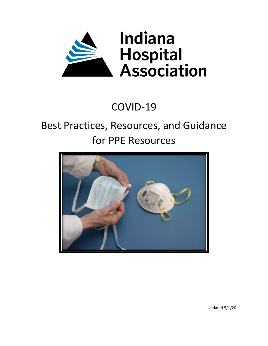

# COVID-19

# Best Practices, Resources, and Guidance for PPE Resources



Updated 5/1/20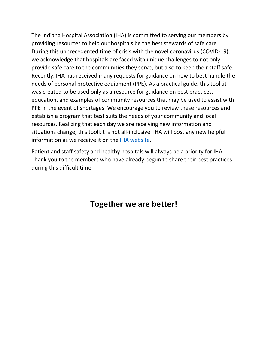The Indiana Hospital Association (IHA) is committed to serving our members by providing resources to help our hospitals be the best stewards of safe care. During this unprecedented time of crisis with the novel coronavirus (COVID-19), we acknowledge that hospitals are faced with unique challenges to not only provide safe care to the communities they serve, but also to keep their staff safe. Recently, IHA has received many requests for guidance on how to best handle the needs of personal protective equipment (PPE). As a practical guide, this toolkit was created to be used only as a resource for guidance on best practices, education, and examples of community resources that may be used to assist with PPE in the event of shortages. We encourage you to review these resources and establish a program that best suits the needs of your community and local resources. Realizing that each day we are receiving new information and situations change, this toolkit is not all-inclusive. IHA will post any new helpful information as we receive it on the [IHA website.](https://www.ihaconnect.org/patientsafety/Pages/Corona_Virus.aspx)

Patient and staff safety and healthy hospitals will always be a priority for IHA. Thank you to the members who have already begun to share their best practices during this difficult time.

# **Together we are better!**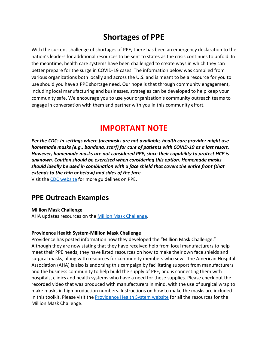# **Shortages of PPE**

With the current challenge of shortages of PPE, there has been an emergency declaration to the nation's leaders for additional resources to be sent to states as the crisis continues to unfold. In the meantime, health care systems have been challenged to create ways in which they can better prepare for the surge in COVID-19 cases. The information below was compiled from various organizations both locally and across the U.S. and is meant to be a resource for you to use should you have a PPE shortage need. Our hope is that through community engagement, including local manufacturing and businesses, strategies can be developed to help keep your community safe. We encourage you to use your organization's community outreach teams to engage in conversation with them and partner with you in this community effort.

# **IMPORTANT NOTE**

*Per the CDC: In settings where facemasks are not available, health care provider might use homemade masks (e.g., bandana, scarf) for care of patients with COVID-19 as a last resort. However, homemade masks are not considered PPE, since their capability to protect HCP is unknown. Caution should be exercised when considering this option. Homemade masks should ideally be used in combination with a face shield that covers the entire front (that extends to the chin or below) and sides of the face.* 

Visit th[e CDC website](https://www.cdc.gov/coronavirus/2019-ncov/hcp/ppe-strategy/face-masks.html) for more guidelines on PPE.

# **PPE Outreach Examples**

**Million Mask Challenge**

AHA updates resources on th[e Million Mask Challenge.](https://www.aha.org/100millionmasks?utm_source=newsletter&utm_medium=email&utm_content=04032020%2Dat%2Dpub&utm_campaign=aha%2Dtoday)

### **Providence Health System-Million Mask Challenge**

Providence has posted information how they developed the "Million Mask Challenge." Although they are now stating that they have received help from local manufacturers to help meet their PPE needs, they have listed resources on how to make their own face shields and surgical masks, along with resources for community members who sew. The American Hospital Association (AHA) is also is endorsing this campaign by facilitating support from manufacturers and the business community to help build the supply of PPE, and is connecting them with hospitals, clinics and health systems who have a need for these supplies. Please check out the recorded video that was produced with manufacturers in mind, with the use of surgical wrap to make masks in high production numbers. Instructions on how to make the masks are included in this toolkit. Please visit the [Providence Health System website](https://www.providence.org/lp/100m-masks) for all the resources for the Million Mask Challenge.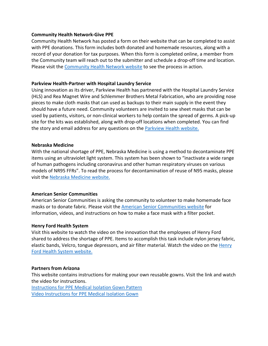#### **Community Health Network-Give PPE**

Community Health Network has posted a form on their website that can be completed to assist with PPE donations. This form includes both donated and homemade resources, along with a record of your donation for tax purposes. When this form is completed online, a member from the Community team will reach out to the submitter and schedule a drop-off time and location. Please visit the [Community Health Network website](https://www.ecommunity.com/givePPE) to see the process in action.

### **Parkview Health-Partner with Hospital Laundry Service**

Using innovation as its driver, Parkview Health has partnered with the Hospital Laundry Service (HLS) and Rea Magnet Wire and Schlemmer Brothers Metal Fabrication, who are providing nose pieces to make cloth masks that can used as backups to their main supply in the event they should have a future need. Community volunteers are invited to sew sheet masks that can be used by patients, visitors, or non-clinical workers to help contain the spread of germs. A pick-up site for the kits was established, along with drop-off locations when completed. You can find the story and email address for any questions on the [Parkview Health website.](https://www.parkview.com/about-us/news/news-story?news=108)

#### **Nebraska Medicine**

With the national shortage of PPE, Nebraska Medicine is using a method to decontaminate PPE items using an ultraviolet light system. This system has been shown to "inactivate a wide range of human pathogens including coronavirus and other human respiratory viruses on various models of NR95 FFRs". To read the process for decontamination of reuse of N95 masks, please visit the [Nebraska Medicine website.](https://www.nebraskamed.com/sites/default/files/documents/COVID-19/n-95-decon-process.pdf)

### **American Senior Communities**

American Senior Communities is asking the community to volunteer to make homemade face masks or to donate fabric. Please visit the [American Senior Communities website](https://www.asccare.com/covid19facemask/) for information, videos, and instructions on how to make a face mask with a filter pocket.

#### **Henry Ford Health System**

Visit this website to watch the video on the innovation that the employees of Henry Ford shared to address the shortage of PPE. Items to accomplish this task include nylon jersey fabric, elastic bands, Velcro, tongue depressors, and air filter material. Watch the video on the [Henry](https://www.henryford.com/news/2020/03/homemade-ppe)  [Ford Health System website.](https://www.henryford.com/news/2020/03/homemade-ppe)

#### **Partners from Arizona**

This website contains instructions for making your own reusable gowns. Visit the link and watch the video for instructions.

[Instructions for PPE Medical Isolation Gown Pattern](https://onedrive.live.com/?authkey=%21AOIPumaxG1cl0O8&cid=5A0926368BA2E777&id=5A0926368BA2E777%2117238&parId=5A0926368BA2E777%21136&o=OneUp) [Video Instructions for PPE Medical Isolation Gown](https://www.youtube.com/watch?v=O0goN9DgNxg&feature=share&fbclid=IwAR0OzlM4zSt5zB1bfRnuL88g7KK-oL-Td7OiVCCSxPlnTFMDC-cx-z8Ri3I)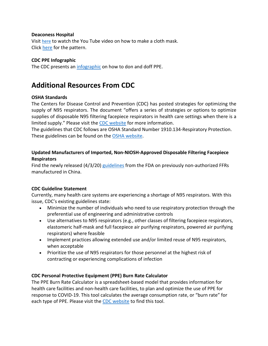### **Deaconess Hospital**

Visi[t here](https://www.youtube.com/watch?v=9tBg0Os5FWQ&feature=youtu.be) to watch the You Tube video on how to make a cloth mask. Click [here](https://www.deaconess.com/How-to-make-a-Face-Mask/Documents-Mask/How-to-Make-an-Adult-Surgical-Mask-with-Ties-3-26) for the pattern.

## **CDC PPE Infographic**

The CDC presents an [infographic](https://www.cdc.gov/coronavirus/2019-ncov/downloads/A_FS_HCP_COVID19_PPE.pdf) on how to don and doff PPE.

# **Additional Resources From CDC**

## **OSHA Standards**

The Centers for Disease Control and Prevention (CDC) has posted strategies for optimizing the supply of N95 respirators. The document "offers a series of strategies or options to optimize supplies of disposable N95 filtering facepiece respirators in health care settings when there is a limited supply." Please visit the [CDC website](https://www.cdc.gov/coronavirus/2019-ncov/hcp/ppe-strategy/index.html) for more information.

The guidelines that CDC follows are OSHA Standard Number 1910.134-Respiratory Protection. These guidelines can be found on the [OSHA website.](https://www.osha.gov/laws-regs/regulations/standardnumber/1910/1910.134)

# **Updated Manufacturers of Imported, Non-NIOSH-Approved Disposable Filtering Facepiece Respirators**

Find the newly released (4/3/20) [guidelines](https://www.fda.gov/media/136664/download) from the FDA on previously non-authorized FFRs manufactured in China.

## **CDC Guideline Statement**

Currently, many health care systems are experiencing a shortage of N95 respirators. With this issue, CDC's existing guidelines state:

- Minimize the number of individuals who need to use respiratory protection through the preferential use of engineering and administrative controls
- Use alternatives to N95 respirators (e.g., other classes of filtering facepiece respirators, elastomeric half-mask and full facepiece air purifying respirators, powered air purifying respirators) where feasible
- Implement practices allowing extended use and/or limited reuse of N95 respirators, when acceptable
- Prioritize the use of N95 respirators for those personnel at the highest risk of contracting or experiencing complications of infection

# **CDC Personal Protective Equipment (PPE) Burn Rate Calculator**

The PPE Burn Rate Calculator is a spreadsheet-based model that provides information for health care facilities and non-health care facilities, to plan and optimize the use of PPE for response to COVID-19. This tool calculates the average consumption rate, or "burn rate" for each type of PPE. Please visit the [CDC website](https://www.cdc.gov/coronavirus/2019-ncov/hcp/ppe-strategy/burn-calculator.html) to find this tool.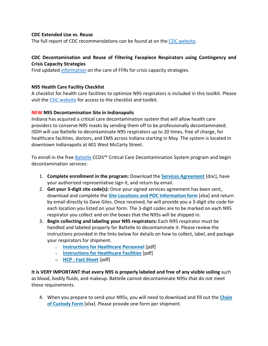### **CDC Extended Use vs. Reuse**

The full report of CDC recommendations can be found at on the [CDC website.](https://www.cdc.gov/niosh/topics/hcwcontrols/recommendedguidanceextuse.html#risksextended)

# **CDC Decontamination and Reuse of Filtering Facepiece Respirators using Contingency and Crisis Capacity Strategies**

Find updated [information](https://www.cdc.gov/coronavirus/2019-ncov/hcp/ppe-strategy/decontamination-reuse-respirators.html) on the care of FFRs for crisis capacity strategies.

### **N95 Health Care Facility Checklist**

A checklist for health care facilities to optimize N95 respirators is included in this toolkit. Please visit the [CDC website](https://www.cdc.gov/coronavirus/2019-ncov/hcp/checklist-n95-strategy-h.pdf) for access to the checklist and toolkit.

### **NEW N95 Decontamination Site in Indianapolis**

Indiana has acquired a critical care decontamination system that will allow health care providers to conserve N95 masks by sending them off to be professionally decontaminated. ISDH will use Battelle to decontaminate N95 respirators up to 20 times, free of charge, for healthcare facilities, doctors, and EMS across Indiana starting in May. The system is located in downtown Indianapolis at 601 West McCarty Street.

To enroll in the free **Battelle CCDS<sup>™</sup> Critical Care Decontamination System program and begin** decontamination services:

- 1. **Complete enrollment in the program:** Download the **[Services Agreement](https://ihaconnect.us6.list-manage.com/track/click?u=3bcd3629340b6852ba28abab9&id=5e464b2703&e=6d264fb2f9)** [doc], have your authorized representative sign it, and return by email.
- 2. **Get your 3-digit site code(s):** Once your signed services agreement has been sent, download and complete the **[Site Locations and POC Information form](https://ihaconnect.us6.list-manage.com/track/click?u=3bcd3629340b6852ba28abab9&id=dc9b9a4225&e=6d264fb2f9)** [xlsx] and return by email directly to Dave Giles. Once received, he will provide you a 3-digit site code for each location you listed on your form. The 3-digit codes are to be marked on each N95 respirator you collect and on the boxes that the N95s will be shipped in.
- 3. **Begin collecting and labeling your N95 respirators:** Each N95 respirator must be handled and labeled properly for Battelle to decontaminate it. Please review the instructions provided in the links below for details on how to collect, label, and package your respirators for shipment.
	- o **[Instructions for Healthcare Personnel](https://ihaconnect.us6.list-manage.com/track/click?u=3bcd3629340b6852ba28abab9&id=5e1409d265&e=6d264fb2f9)** [pdf]
	- o **[Instructions for Healthcare Facilities](https://ihaconnect.us6.list-manage.com/track/click?u=3bcd3629340b6852ba28abab9&id=f70e85457b&e=6d264fb2f9)** [pdf]
	- o **HCP - [Fact Sheet](https://ihaconnect.us6.list-manage.com/track/click?u=3bcd3629340b6852ba28abab9&id=fd252bb6c9&e=6d264fb2f9)** [pdf]

**It is VERY IMPORTANT that every N95 is properly labeled and free of any visible soiling** such as blood, bodily fluids, and makeup. Battelle cannot decontaminate N95s that do not meet these requirements.

4. When you prepare to send your N95s, you will need to download and fill out the **[Chain](https://ihaconnect.us6.list-manage.com/track/click?u=3bcd3629340b6852ba28abab9&id=0a2eda4505&e=6d264fb2f9)  [of Custody Form](https://ihaconnect.us6.list-manage.com/track/click?u=3bcd3629340b6852ba28abab9&id=0a2eda4505&e=6d264fb2f9)** [xlsx]. Please provide one form per shipment.